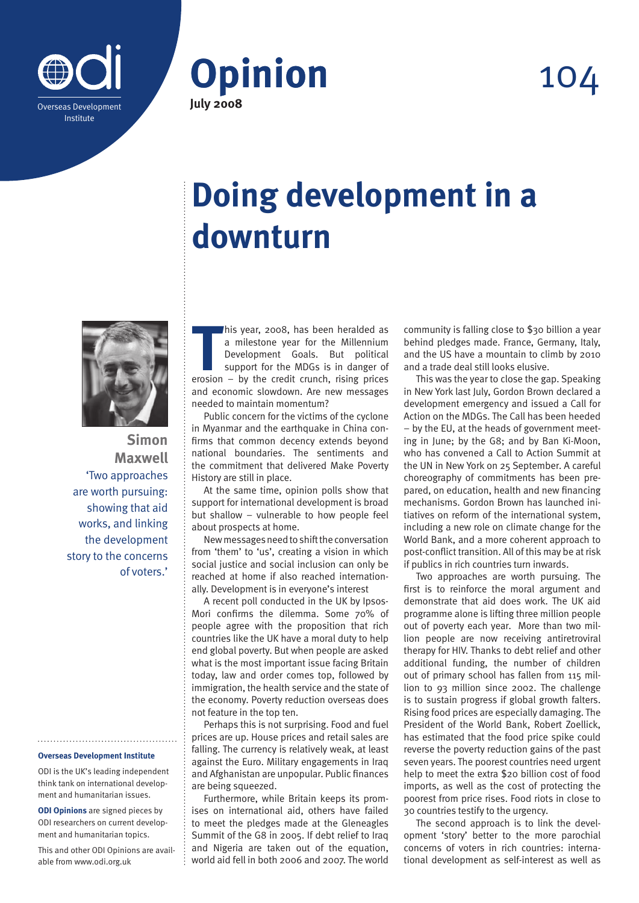



## 104

## **Doing development in a downturn**



**Simon Maxwell** 'Two approaches are worth pursuing: showing that aid works, and linking the development story to the concerns of voters.'

## **Overseas Development Institute**

ODI is the UK's leading independent think tank on international development and humanitarian issues.

**ODI Opinions** are signed pieces by ODI researchers on current development and humanitarian topics.

This and other ODI Opinions are available from www.odi.org.uk

his year, 2008, has been heralded as<br>
a milestone year for the Millennium<br>
Development Goals. But political<br>
support for the MDGs is in danger of<br>
erosion – by the credit crunch, rising prices his year, 2008, has been heralded as a milestone year for the Millennium Development Goals. But political support for the MDGs is in danger of and economic slowdown. Are new messages needed to maintain momentum?

Public concern for the victims of the cyclone in Myanmar and the earthquake in China confirms that common decency extends beyond national boundaries. The sentiments and the commitment that delivered Make Poverty History are still in place.

At the same time, opinion polls show that support for international development is broad but shallow – vulnerable to how people feel about prospects at home.

New messages need to shift the conversation from 'them' to 'us', creating a vision in which social justice and social inclusion can only be reached at home if also reached internationally. Development is in everyone's interest

A recent poll conducted in the UK by Ipsos-Mori confirms the dilemma. Some 70% of people agree with the proposition that rich countries like the UK have a moral duty to help end global poverty. But when people are asked what is the most important issue facing Britain today, law and order comes top, followed by immigration, the health service and the state of the economy. Poverty reduction overseas does not feature in the top ten.

Perhaps this is not surprising. Food and fuel prices are up. House prices and retail sales are falling. The currency is relatively weak, at least against the Euro. Military engagements in Iraq and Afghanistan are unpopular. Public finances are being squeezed.

Furthermore, while Britain keeps its promises on international aid, others have failed to meet the pledges made at the Gleneagles Summit of the G8 in 2005. If debt relief to Iraq and Nigeria are taken out of the equation, world aid fell in both 2006 and 2007. The world

community is falling close to \$30 billion a year behind pledges made. France, Germany, Italy, and the US have a mountain to climb by 2010 and a trade deal still looks elusive.

This was the year to close the gap. Speaking in New York last July, Gordon Brown declared a development emergency and issued a Call for Action on the MDGs. The Call has been heeded – by the EU, at the heads of government meeting in June; by the G8; and by Ban Ki-Moon, who has convened a Call to Action Summit at the UN in New York on 25 September. A careful choreography of commitments has been prepared, on education, health and new financing mechanisms. Gordon Brown has launched initiatives on reform of the international system, including a new role on climate change for the World Bank, and a more coherent approach to post-conflict transition. All of this may be at risk if publics in rich countries turn inwards.

Two approaches are worth pursuing. The first is to reinforce the moral argument and demonstrate that aid does work. The UK aid programme alone is lifting three million people out of poverty each year. More than two million people are now receiving antiretroviral therapy for HIV. Thanks to debt relief and other additional funding, the number of children out of primary school has fallen from 115 million to 93 million since 2002. The challenge is to sustain progress if global growth falters. Rising food prices are especially damaging. The President of the World Bank, Robert Zoellick, has estimated that the food price spike could reverse the poverty reduction gains of the past seven years. The poorest countries need urgent help to meet the extra \$20 billion cost of food imports, as well as the cost of protecting the poorest from price rises. Food riots in close to 30 countries testify to the urgency.

The second approach is to link the development 'story' better to the more parochial concerns of voters in rich countries: international development as self-interest as well as